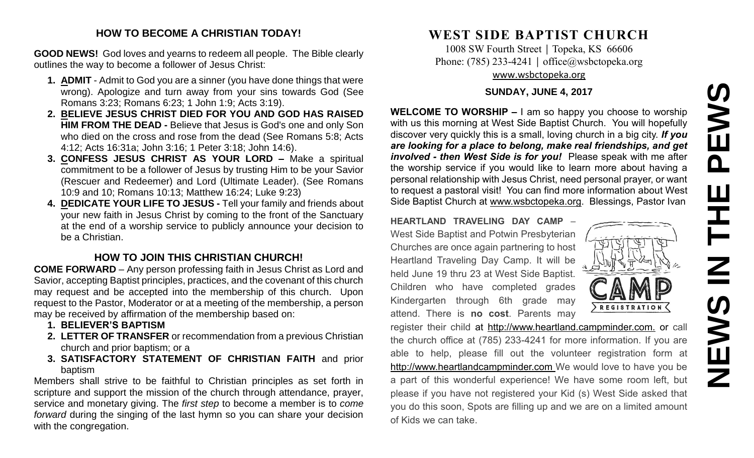# **NEWS IN THE PEWS**EWS  $\overline{\mathbf{a}}$ Ш 즌  $\mathbf{Z}$ **SAME**

#### **HOW TO BECOME A CHRISTIAN TODAY!**

**GOOD NEWS!** God loves and yearns to redeem all people. The Bible clearly outlines the way to become a follower of Jesus Christ:

- **1. ADMIT** Admit to God you are a sinner (you have done things that were wrong). Apologize and turn away from your sins towards God (See Romans 3:23; Romans 6:23; 1 John 1:9; Acts 3:19).
- **2. BELIEVE JESUS CHRIST DIED FOR YOU AND GOD HAS RAISED HIM FROM THE DEAD -** Believe that Jesus is God's one and only Son who died on the cross and rose from the dead (See Romans 5:8; Acts 4:12; Acts 16:31a; John 3:16; 1 Peter 3:18; John 14:6).
- **3. CONFESS JESUS CHRIST AS YOUR LORD –** Make a spiritual commitment to be a follower of Jesus by trusting Him to be your Savior (Rescuer and Redeemer) and Lord (Ultimate Leader). (See Romans 10:9 and 10; Romans 10:13; Matthew 16:24; Luke 9:23)
- **4. DEDICATE YOUR LIFE TO JESUS -** Tell your family and friends about your new faith in Jesus Christ by coming to the front of the Sanctuary at the end of a worship service to publicly announce your decision to be a Christian.

## **HOW TO JOIN THIS CHRISTIAN CHURCH!**

**COME FORWARD** – Any person professing faith in Jesus Christ as Lord and Savior, accepting Baptist principles, practices, and the covenant of this church may request and be accepted into the membership of this church. Upon request to the Pastor, Moderator or at a meeting of the membership, a person may be received by affirmation of the membership based on:

- **1. BELIEVER'S BAPTISM**
- **2. LETTER OF TRANSFER** or recommendation from a previous Christian church and prior baptism; or a
- **3. SATISFACTORY STATEMENT OF CHRISTIAN FAITH** and prior baptism

Members shall strive to be faithful to Christian principles as set forth in scripture and support the mission of the church through attendance, prayer, service and monetary giving. The *first step* to become a member is to *come forward* during the singing of the last hymn so you can share your decision with the congregation.

## **WEST SIDE BAPTIST CHURCH**

1008 SW Fourth Street | Topeka, KS 66606 Phone: (785) 233-4241 | [office@wsbctopeka.org](mailto:office@wsbctopeka.org) [www.wsbctopeka.org](http://www.wsbctopeka.org/)

#### **SUNDAY, JUNE 4, 2017**

**WELCOME TO WORSHIP –** I am so happy you choose to worship with us this morning at West Side Baptist Church. You will hopefully discover very quickly this is a small, loving church in a big city. *If you are looking for a place to belong, make real friendships, and get involved - then West Side is for you!* Please speak with me after the worship service if you would like to learn more about having a personal relationship with Jesus Christ, need personal prayer, or want to request a pastoral visit! You can find more information about West Side Baptist Church at [www.wsbctopeka.org.](http://www.wsbctopeka.org/) Blessings, Pastor Ivan

**HEARTLAND TRAVELING DAY CAMP** – West Side Baptist and Potwin Presbyterian Churches are once again partnering to host Heartland Traveling Day Camp. It will be held June 19 thru 23 at West Side Baptist. Children who have completed grades Kindergarten through 6th grade may attend. There is **no cost**. Parents may



register their child at http://www.heartland.campminder.com. or call the church office at (785) 233-4241 for more information. If you are able to help, please fill out the volunteer registration form at [http://www.heartlandcampminder.com](http://www.heartlandcampminder.com/) We would love to have you be a part of this wonderful experience! We have some room left, but please if you have not registered your Kid (s) West Side asked that you do this soon, Spots are filling up and we are on a limited amount of Kids we can take.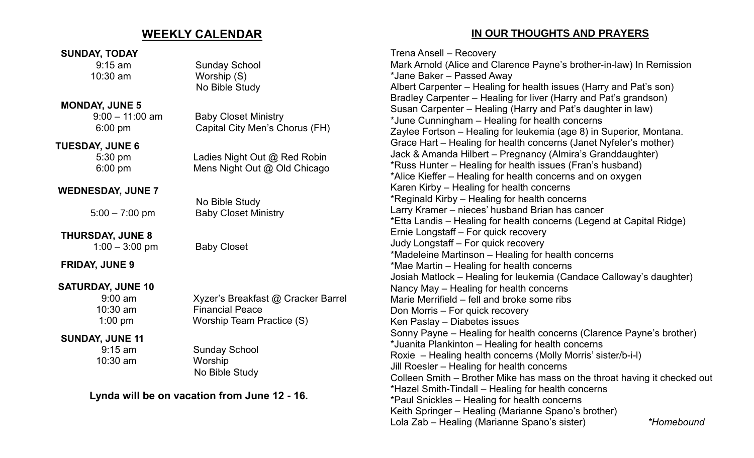## **WEEKLY CALENDAR**

#### **SUNDAY, TODAY**

9:15 am Sunday School 10:30 am Worship (S)

#### **MONDAY, JUNE 5**

9:00 – 11:00 am Baby Closet Ministry

#### **TUESDAY, JUNE 6**

6:00 pm Capital City Men's Chorus (FH)

No Bible Study

No Bible Study

 5:30 pm Ladies Night Out @ Red Robin 6:00 pm Mens Night Out @ Old Chicago

#### **WEDNESDAY, JUNE 7**

5:00 – 7:00 pm Baby Closet Ministry

#### **THURSDAY, JUNE 8** 1:00 – 3:00 pm Baby Closet

**FRIDAY, JUNE 9**

# **SATURDAY, JUNE 10**

#### **SUNDAY, JUNE 11**

10:30 am Worship

### 9:00 am Xyzer's Breakfast @ Cracker Barrel 10:30 am Financial Peace 1:00 pm Worship Team Practice (S)

 9:15 am Sunday School No Bible Study

## **Lynda will be on vacation from June 12 - 16.**

**IN OUR THOUGHTS AND PRAYERS**

Trena Ansell – Recovery Mark Arnold (Alice and Clarence Payne's brother-in-law) In Remission \*Jane Baker – Passed Away Albert Carpenter – Healing for health issues (Harry and Pat's son) Bradley Carpenter – Healing for liver (Harry and Pat's grandson) Susan Carpenter – Healing (Harry and Pat's daughter in law) \*June Cunningham – Healing for health concerns Zaylee Fortson – Healing for leukemia (age 8) in Superior, Montana. Grace Hart – Healing for health concerns (Janet Nyfeler's mother) Jack & Amanda Hilbert – Pregnancy (Almira's Granddaughter) \*Russ Hunter – Healing for health issues (Fran's husband) \*Alice Kieffer – Healing for health concerns and on oxygen Karen Kirby – Healing for health concerns \*Reginald Kirby – Healing for health concerns Larry Kramer – nieces' husband Brian has cancer \*Etta Landis – Healing for health concerns (Legend at Capital Ridge) Ernie Longstaff – For quick recovery Judy Longstaff – For quick recovery \*Madeleine Martinson – Healing for health concerns \*Mae Martin – Healing for health concerns Josiah Matlock – Healing for leukemia (Candace Calloway's daughter) Nancy May – Healing for health concerns Marie Merrifield – fell and broke some ribs Don Morris – For quick recovery Ken Paslay – Diabetes issues Sonny Payne – Healing for health concerns (Clarence Payne's brother) \*Juanita Plankinton – Healing for health concerns Roxie – Healing health concerns (Molly Morris' sister/b-i-l) Jill Roesler – Healing for health concerns Colleen Smith – Brother Mike has mass on the throat having it checked out \*Hazel Smith-Tindall – Healing for health concerns \*Paul Snickles – Healing for health concerns Keith Springer – Healing (Marianne Spano's brother) Lola Zab – Healing (Marianne Spano's sister) *\*Homebound*